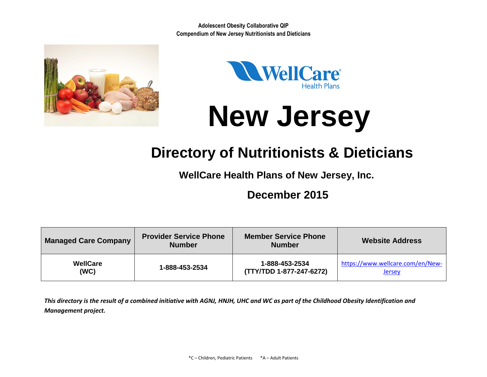



# **New Jersey**

## **Directory of Nutritionists & Dieticians**

**WellCare Health Plans of New Jersey, Inc.**

### **December 2015**

| <b>Managed Care Company</b> | <b>Provider Service Phone</b><br><b>Number</b> | <b>Member Service Phone</b><br><b>Number</b> | <b>Website Address</b>           |  |  |
|-----------------------------|------------------------------------------------|----------------------------------------------|----------------------------------|--|--|
| <b>WellCare</b>             | 1-888-453-2534                                 | 1-888-453-2534                               | https://www.wellcare.com/en/New- |  |  |
| (WC)                        |                                                | (TTY/TDD 1-877-247-6272)                     | <b>Jersey</b>                    |  |  |

*This directory is the result of a combined initiative with AGNJ, HNJH, UHC and WC as part of the Childhood Obesity Identification and Management project.*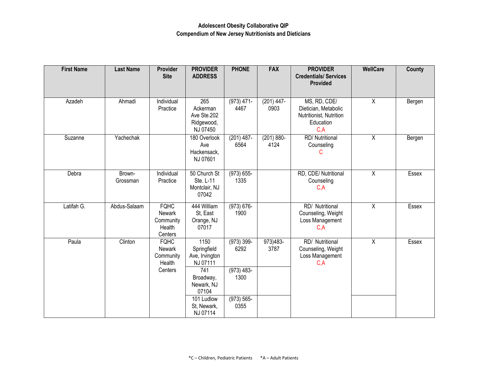| <b>First Name</b> | <b>Last Name</b>   | <b>Provider</b><br><b>Site</b>                                 | <b>PROVIDER</b><br><b>ADDRESS</b>                                                                                                     | <b>PHONE</b>                                                           | <b>FAX</b>            | <b>PROVIDER</b><br><b>Credentials/ Services</b><br><b>Provided</b>                   | WellCare       | County |
|-------------------|--------------------|----------------------------------------------------------------|---------------------------------------------------------------------------------------------------------------------------------------|------------------------------------------------------------------------|-----------------------|--------------------------------------------------------------------------------------|----------------|--------|
| Azadeh            | Ahmadi             | Individual<br>Practice                                         | 265<br>Ackerman<br>Ave Ste.202<br>Ridgewood,<br>NJ 07450                                                                              | $(973)$ 471-<br>4467                                                   | $(201)$ 447-<br>0903  | MS, RD, CDE/<br>Dietician, Metabolic<br>Nutritionist, Nutrition<br>Education<br>C, A | $\overline{X}$ | Bergen |
| Suzanne           | Yachechak          |                                                                | 180 Overlook<br>Ave<br>Hackensack,<br>NJ 07601                                                                                        | $(201)$ 487-<br>6564                                                   | $(201) 880 -$<br>4124 | RD/ Nutritional<br>Counseling<br>С                                                   | $\overline{X}$ | Bergen |
| Debra             | Brown-<br>Grossman | Individual<br>Practice                                         | 50 Church St<br>Ste. L-11<br>Montclair, NJ<br>07042                                                                                   | $(973) 655 -$<br>1335                                                  |                       | RD, CDE/ Nutritional<br>Counseling<br>C, A                                           | $\overline{X}$ | Essex  |
| Latifah G.        | Abdus-Salaam       | <b>FQHC</b><br>Newark<br>Community<br>Health<br>Centers        | 444 William<br>St, East<br>Orange, NJ<br>07017                                                                                        | $(973) 676 -$<br>1900                                                  |                       | RD/ Nutritional<br>Counseling, Weight<br>Loss Management<br>C, A                     | $\overline{X}$ | Essex  |
| Paula             | Clinton            | <b>FQHC</b><br><b>Newark</b><br>Community<br>Health<br>Centers | 1150<br>Springfield<br>Ave, Irvington<br>NJ 07111<br>741<br>Broadway,<br>Newark, NJ<br>07104<br>101 Ludlow<br>St, Newark,<br>NJ 07114 | $(973) 399 -$<br>6292<br>$(973)$ 483-<br>1300<br>$(973) 565 -$<br>0355 | 973)483-<br>3787      | RD/ Nutritional<br>Counseling, Weight<br>Loss Management<br>C, A                     | $\overline{X}$ | Essex  |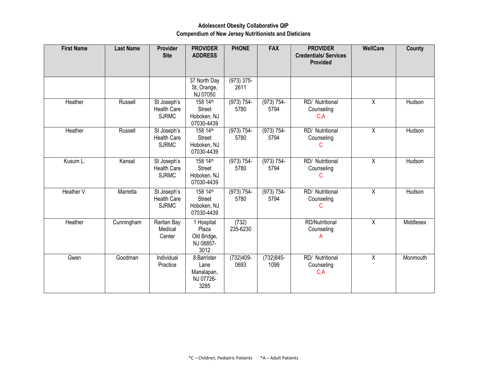#### **Adolescent Obesity Collaborative QIP Compendium of New Jersey Nutritionists and Dieticians**

| <b>First Name</b> | <b>Last Name</b> | <b>Provider</b><br><b>Site</b>                    | <b>PROVIDER</b><br><b>ADDRESS</b>                       | <b>PHONE</b>          | <b>FAX</b>            | <b>PROVIDER</b><br><b>Credentials/ Services</b><br><b>Provided</b> | WellCare       | County    |
|-------------------|------------------|---------------------------------------------------|---------------------------------------------------------|-----------------------|-----------------------|--------------------------------------------------------------------|----------------|-----------|
|                   |                  |                                                   | 37 North Day<br>St, Orange,<br>NJ 07050                 | $(973) 375 -$<br>2611 |                       |                                                                    |                |           |
| Heather           | Russell          | St Joseph's<br><b>Health Care</b><br><b>SJRMC</b> | 158 14th<br><b>Street</b><br>Hoboken, NJ<br>07030-4439  | $(973) 754 -$<br>5780 | $(973) 754 -$<br>5794 | RD/ Nutritional<br>Counseling<br>C, A                              | $\overline{X}$ | Hudson    |
| Heather           | Russell          | St Joseph's<br><b>Health Care</b><br><b>SJRMC</b> | 158 14th<br><b>Street</b><br>Hoboken, NJ<br>07030-4439  | $(973) 754 -$<br>5780 | $(973) 754 -$<br>5794 | RD/ Nutritional<br>Counseling<br>C                                 | $\overline{X}$ | Hudson    |
| Kusum L.          | Kansal           | St Joseph's<br><b>Health Care</b><br><b>SJRMC</b> | 158 14th<br><b>Street</b><br>Hoboken, NJ<br>07030-4439  | (973) 754-<br>5780    | (973) 754-<br>5794    | RD/ Nutritional<br>Counseling<br>С                                 | $\overline{X}$ | Hudson    |
| Heather V.        | Marretta         | St Joseph's<br><b>Health Care</b><br><b>SJRMC</b> | 158 14th<br><b>Street</b><br>Hoboken, NJ<br>07030-4439  | $(973) 754 -$<br>5780 | $(973) 754 -$<br>5794 | RD/ Nutritional<br>Counseling<br>C                                 | $\overline{X}$ | Hudson    |
| Heather           | Cunningham       | Raritan Bay<br>Medical<br>Center                  | 1 Hospital<br>Plaza<br>Old Bridge,<br>NJ 08857-<br>3012 | (732)<br>235-6230     |                       | <b>RD/Nutritional</b><br>Counseling<br>А                           | $\mathsf{X}$   | Middlesex |
| Gwen              | Goodman          | Individual<br>Practice                            | 8 Barrister<br>Lane<br>Manalapan,<br>NJ 07726-<br>3285  | $(732)409 -$<br>0693  | $(732)845-$<br>1099   | RD/ Nutritional<br>Counseling<br>C, A                              | $\overline{X}$ | Monmouth  |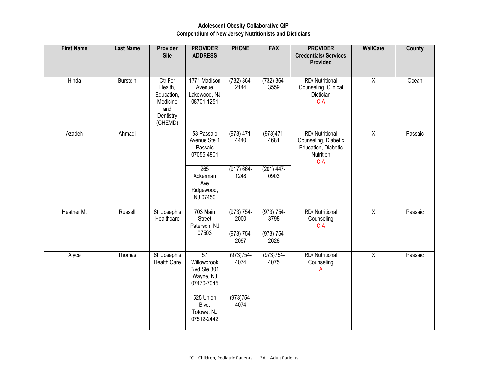#### **Adolescent Obesity Collaborative QIP Compendium of New Jersey Nutritionists and Dieticians**

| <b>First Name</b> | <b>Last Name</b> | Provider<br><b>Site</b>                                                     | <b>PROVIDER</b><br><b>ADDRESS</b>                                         | <b>PHONE</b>          | <b>FAX</b>            | <b>PROVIDER</b><br><b>Credentials/ Services</b><br>Provided                                | <b>WellCare</b> | <b>County</b> |
|-------------------|------------------|-----------------------------------------------------------------------------|---------------------------------------------------------------------------|-----------------------|-----------------------|--------------------------------------------------------------------------------------------|-----------------|---------------|
| Hinda             | <b>Burstein</b>  | Ctr For<br>Health,<br>Education,<br>Medicine<br>and<br>Dentistry<br>(CHEMD) | 1771 Madison<br>Avenue<br>Lakewood, NJ<br>08701-1251                      | $(732)$ 364-<br>2144  | $(732) 364 -$<br>3559 | RD/ Nutritional<br>Counseling, Clinical<br>Dietician<br>C, A                               | $\overline{X}$  | Ocean         |
| Azadeh            | Ahmadi           |                                                                             | 53 Passaic<br>Avenue Ste.1<br>Passaic<br>07055-4801                       | $(973)$ 471-<br>4440  | $(973)471-$<br>4681   | <b>RD/ Nutritional</b><br>Counseling, Diabetic<br>Education, Diabetic<br>Nutrition<br>C, A | $\overline{X}$  | Passaic       |
|                   |                  |                                                                             | 265<br>Ackerman<br>Ave<br>Ridgewood,<br>NJ 07450                          | $(917) 664 -$<br>1248 | $(201)$ 447-<br>0903  |                                                                                            |                 |               |
| Heather M.        | Russell          | St. Joseph's<br>Healthcare                                                  | 703 Main<br>Street<br>Paterson, NJ                                        | $(973) 754 -$<br>2000 | $(973) 754 -$<br>3798 | <b>RD/ Nutritional</b><br>Counseling<br>C, A                                               | $\overline{X}$  | Passaic       |
|                   |                  |                                                                             | 07503                                                                     | (973) 754-<br>2097    | $(973) 754 -$<br>2628 |                                                                                            |                 |               |
| Alyce             | Thomas           | St. Joseph's<br>Health Care                                                 | $\overline{57}$<br>Willowbrook<br>Blvd.Ste 301<br>Wayne, NJ<br>07470-7045 | $(973)754-$<br>4074   | $(973)754-$<br>4075   | RD/ Nutritional<br>Counseling<br>А                                                         | $\overline{X}$  | Passaic       |
|                   |                  |                                                                             | 525 Union<br>Blvd.<br>Totowa, NJ<br>07512-2442                            | $(973)754-$<br>4074   |                       |                                                                                            |                 |               |